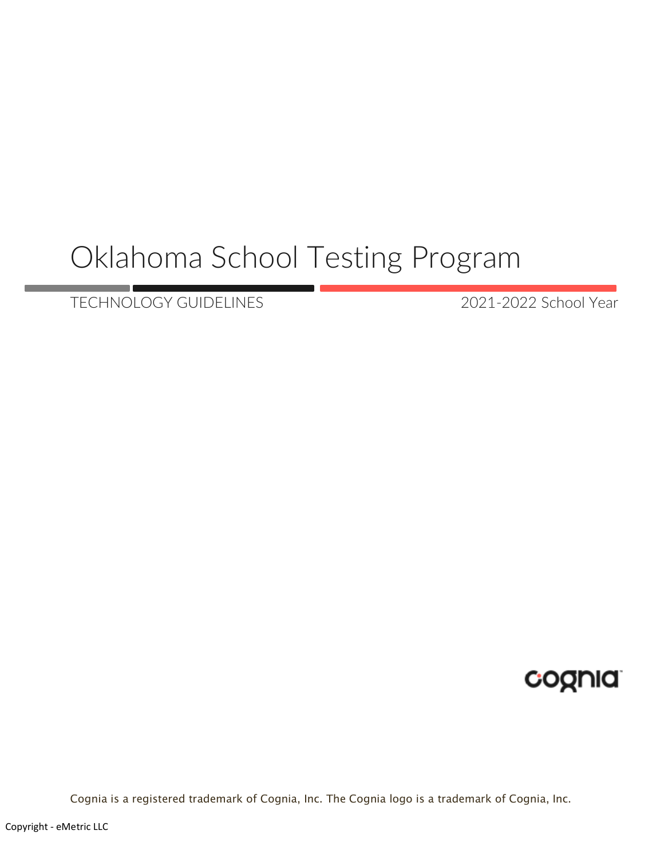# Oklahoma School Testing Program

TECHNOLOGY GUIDELINES 2021-2022 School Year

cognia

Cognia is a registered trademark of Cognia, Inc. The Cognia logo is a trademark of Cognia, Inc.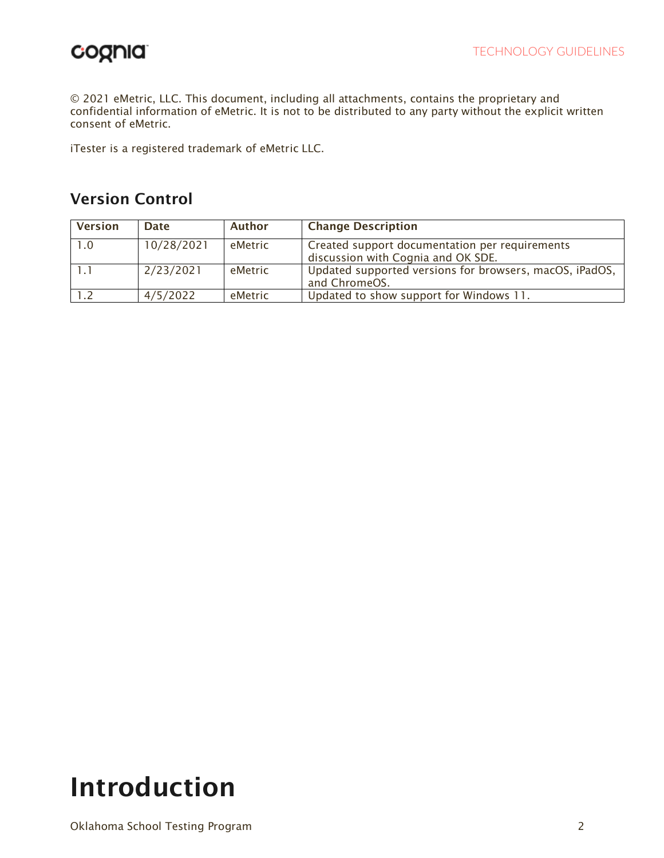© 2021 eMetric, LLC. This document, including all attachments, contains the proprietary and confidential information of eMetric. It is not to be distributed to any party without the explicit written consent of eMetric.

iTester is a registered trademark of eMetric LLC.

## Version Control

| <b>Version</b> | <b>Date</b> | Author  | <b>Change Description</b>                                                            |
|----------------|-------------|---------|--------------------------------------------------------------------------------------|
| 1.0            | 10/28/2021  | eMetric | Created support documentation per requirements<br>discussion with Cognia and OK SDE. |
|                | 2/23/2021   | eMetric | Updated supported versions for browsers, macOS, iPadOS,<br>and ChromeOS.             |
|                | 4/5/2022    | eMetric | Updated to show support for Windows 11.                                              |

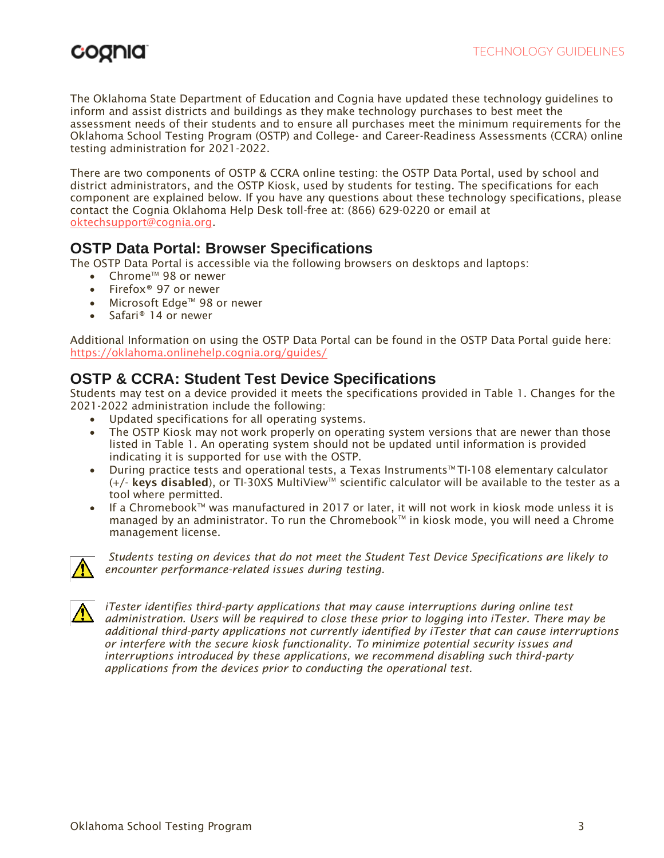## coonia

The Oklahoma State Department of Education and Cognia have updated these technology guidelines to inform and assist districts and buildings as they make technology purchases to best meet the assessment needs of their students and to ensure all purchases meet the minimum requirements for the Oklahoma School Testing Program (OSTP) and College- and Career-Readiness Assessments (CCRA) online testing administration for 2021-2022.

There are two components of OSTP & CCRA online testing: the OSTP Data Portal, used by school and district administrators, and the OSTP Kiosk, used by students for testing. The specifications for each component are explained below. If you have any questions about these technology specifications, please contact the Cognia Oklahoma Help Desk toll-free at: (866) 629-0220 or email at [oktechsupport@cognia.org.](mailto:oktechsupport@cognia.org)

## **OSTP Data Portal: Browser Specifications**

The OSTP Data Portal is accessible via the following browsers on desktops and laptops:

- Chrome<sup>™</sup> 98 or newer
- Firefox® 97 or newer
- Microsoft Edge™ 98 or newer
- Safari® 14 or newer

Additional Information on using the OSTP Data Portal can be found in the OSTP Data Portal guide here: <https://oklahoma.onlinehelp.cognia.org/guides/>

## **OSTP & CCRA: Student Test Device Specifications**

Students may test on a device provided it meets the specifications provided in Table 1. Changes for the 2021-2022 administration include the following:

- Updated specifications for all operating systems.
- The OSTP Kiosk may not work properly on operating system versions that are newer than those listed in Table 1. An operating system should not be updated until information is provided indicating it is supported for use with the OSTP.
- During practice tests and operational tests, a Texas Instruments<sup>tM</sup> TI-108 elementary calculator  $(+)'$  keys disabled), or TI-30XS MultiView<sup>TM</sup> scientific calculator will be available to the tester as a tool where permitted.
- If a Chromebook $\mathbb{M}$  was manufactured in 2017 or later, it will not work in kiosk mode unless it is managed by an administrator. To run the Chromebook™ in kiosk mode, you will need a Chrome management license.



*Students testing on devices that do not meet the Student Test Device Specifications are likely to encounter performance-related issues during testing.*



*iTester identifies third-party applications that may cause interruptions during online test administration. Users will be required to close these prior to logging into iTester. There may be additional third-party applications not currently identified by iTester that can cause interruptions or interfere with the secure kiosk functionality. To minimize potential security issues and interruptions introduced by these applications, we recommend disabling such third-party applications from the devices prior to conducting the operational test.*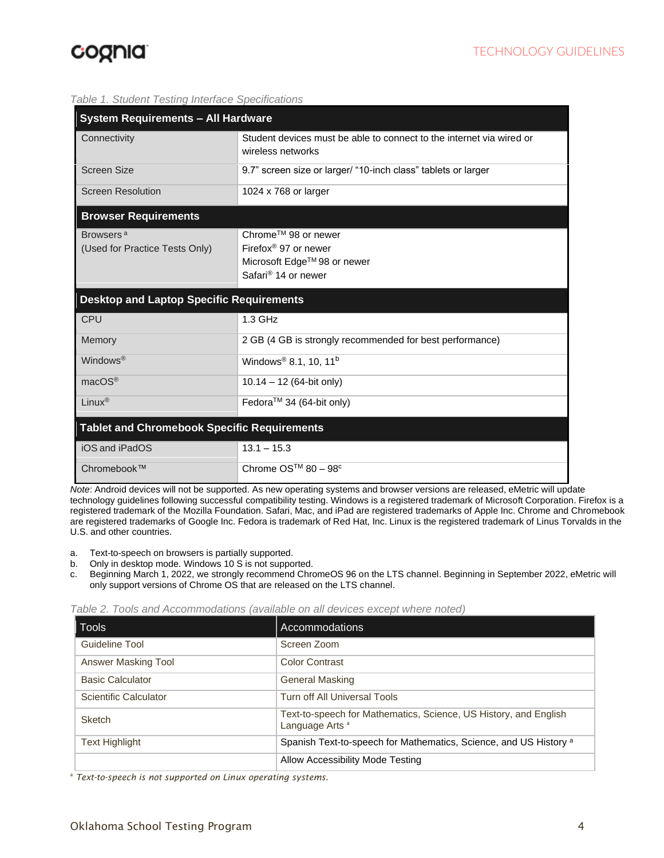#### *Table 1. Student Testing Interface Specifications*

| <b>System Requirements - All Hardware</b>               |                                                                                                                           |  |  |  |
|---------------------------------------------------------|---------------------------------------------------------------------------------------------------------------------------|--|--|--|
| Connectivity                                            | Student devices must be able to connect to the internet via wired or<br>wireless networks                                 |  |  |  |
| <b>Screen Size</b>                                      | 9.7" screen size or larger/ "10-inch class" tablets or larger                                                             |  |  |  |
| <b>Screen Resolution</b>                                | 1024 x 768 or larger                                                                                                      |  |  |  |
| <b>Browser Requirements</b>                             |                                                                                                                           |  |  |  |
| Browsers <sup>a</sup><br>(Used for Practice Tests Only) | Chrome™ 98 or newer<br>Firefox <sup>®</sup> 97 or newer<br>Microsoft Edge™ 98 or newer<br>Safari <sup>®</sup> 14 or newer |  |  |  |
| <b>Desktop and Laptop Specific Requirements</b>         |                                                                                                                           |  |  |  |
| <b>CPU</b>                                              | $1.3$ GHz                                                                                                                 |  |  |  |
| Memory                                                  | 2 GB (4 GB is strongly recommended for best performance)                                                                  |  |  |  |
| Windows <sup>®</sup>                                    | Windows <sup>®</sup> 8.1, 10, 11 <sup>b</sup>                                                                             |  |  |  |
| macOS <sup>®</sup>                                      | $10.14 - 12$ (64-bit only)                                                                                                |  |  |  |
| Linux <sup>®</sup>                                      | Fedora™ 34 (64-bit only)                                                                                                  |  |  |  |
| <b>Tablet and Chromebook Specific Requirements</b>      |                                                                                                                           |  |  |  |
| iOS and iPadOS                                          | $13.1 - 15.3$                                                                                                             |  |  |  |
| Chromebook™                                             | Chrome $OS^{TM}$ 80 - 98 <sup>c</sup>                                                                                     |  |  |  |

*Note*: Android devices will not be supported. As new operating systems and browser versions are released, eMetric will update technology guidelines following successful compatibility testing. Windows is a registered trademark of Microsoft Corporation. Firefox is a registered trademark of the Mozilla Foundation. Safari, Mac, and iPad are registered trademarks of Apple Inc. Chrome and Chromebook are registered trademarks of Google Inc. Fedora is trademark of Red Hat, Inc. Linux is the registered trademark of Linus Torvalds in the U.S. and other countries.

- a. Text-to-speech on browsers is partially supported.
- b. Only in desktop mode. Windows 10 S is not supported.
- c. Beginning March 1, 2022, we strongly recommend ChromeOS 96 on the LTS channel. Beginning in September 2022, eMetric will only support versions of Chrome OS that are released on the LTS channel.

*Table 2. Tools and Accommodations (available on all devices except where noted)*

| <b>Tools</b>            | Accommodations                                                                                 |
|-------------------------|------------------------------------------------------------------------------------------------|
| Guideline Tool          | Screen Zoom                                                                                    |
| Answer Masking Tool     | <b>Color Contrast</b>                                                                          |
| <b>Basic Calculator</b> | <b>General Masking</b>                                                                         |
| Scientific Calculator   | Turn off All Universal Tools                                                                   |
| <b>Sketch</b>           | Text-to-speech for Mathematics, Science, US History, and English<br>Language Arts <sup>a</sup> |
| <b>Text Highlight</b>   | Spanish Text-to-speech for Mathematics, Science, and US History a                              |
|                         | Allow Accessibility Mode Testing                                                               |

<sup>a</sup> *Text-to-speech is not supported on Linux operating systems.*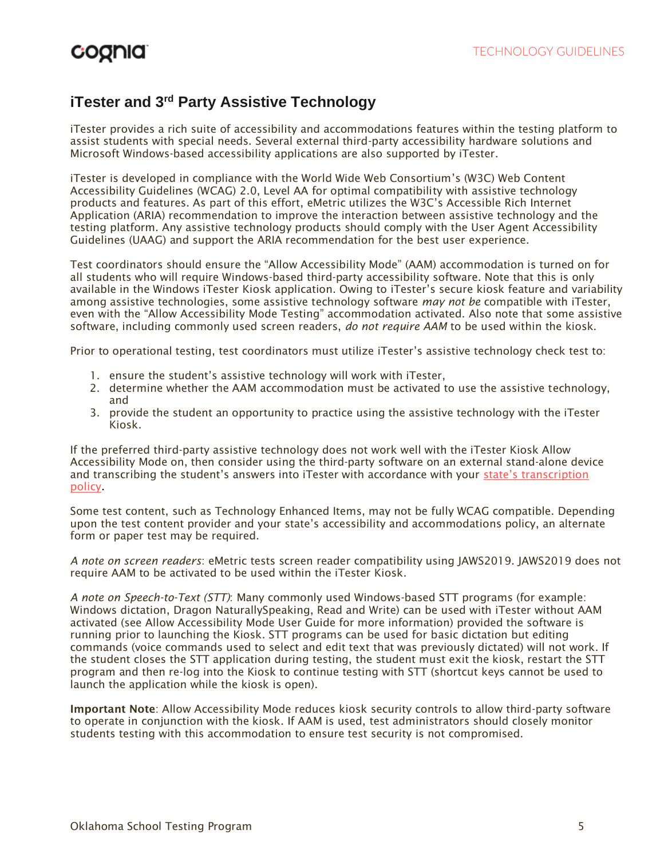## **iTester and 3rd Party Assistive Technology**

iTester provides a rich suite of accessibility and accommodations features within the testing platform to assist students with special needs. Several external third-party accessibility hardware solutions and Microsoft Windows-based accessibility applications are also supported by iTester.

iTester is developed in compliance with the World Wide Web Consortium's (W3C) Web Content Accessibility Guidelines (WCAG) 2.0, Level AA for optimal compatibility with assistive technology products and features. As part of this effort, eMetric utilizes the W3C's Accessible Rich Internet Application (ARIA) recommendation to improve the interaction between assistive technology and the testing platform. Any assistive technology products should comply with the User Agent Accessibility Guidelines (UAAG) and support the ARIA recommendation for the best user experience.

Test coordinators should ensure the "Allow Accessibility Mode" (AAM) accommodation is turned on for all students who will require Windows-based third-party accessibility software. Note that this is only available in the Windows iTester Kiosk application. Owing to iTester's secure kiosk feature and variability among assistive technologies, some assistive technology software *may not be* compatible with iTester, even with the "Allow Accessibility Mode Testing" accommodation activated. Also note that some assistive software, including commonly used screen readers, *do not require AAM* to be used within the kiosk.

Prior to operational testing, test coordinators must utilize iTester's assistive technology check test to:

- 1. ensure the student's assistive technology will work with iTester,
- 2. determine whether the AAM accommodation must be activated to use the assistive technology, and
- 3. provide the student an opportunity to practice using the assistive technology with the iTester Kiosk.

If the preferred third-party assistive technology does not work well with the iTester Kiosk Allow Accessibility Mode on, then consider using the third-party software on an external stand-alone device and transcribing the student's answers into iTester with accordance with your [state's transcription](https://sde.ok.gov/documents/ostp-accommodation-manuals-companion-documents)  [policy.](https://sde.ok.gov/documents/ostp-accommodation-manuals-companion-documents)

Some test content, such as Technology Enhanced Items, may not be fully WCAG compatible. Depending upon the test content provider and your state's accessibility and accommodations policy, an alternate form or paper test may be required.

*A note on screen readers*: eMetric tests screen reader compatibility using JAWS2019. JAWS2019 does not require AAM to be activated to be used within the iTester Kiosk.

*A note on Speech-to-Text (STT)*: Many commonly used Windows-based STT programs (for example: Windows dictation, Dragon NaturallySpeaking, Read and Write) can be used with iTester without AAM activated (see Allow Accessibility Mode User Guide for more information) provided the software is running prior to launching the Kiosk. STT programs can be used for basic dictation but editing commands (voice commands used to select and edit text that was previously dictated) will not work. If the student closes the STT application during testing, the student must exit the kiosk, restart the STT program and then re-log into the Kiosk to continue testing with STT (shortcut keys cannot be used to launch the application while the kiosk is open).

Important Note: Allow Accessibility Mode reduces kiosk security controls to allow third-party software to operate in conjunction with the kiosk. If AAM is used, test administrators should closely monitor students testing with this accommodation to ensure test security is not compromised.